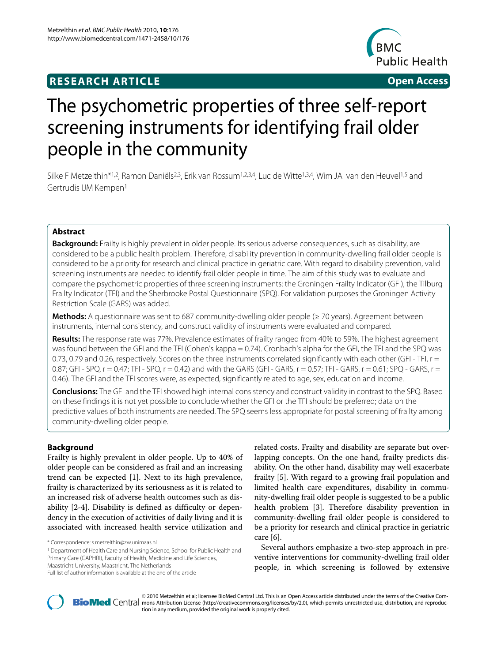# **RESEARCH ARTICLE Open Access**



# The psychometric properties of three self-report screening instruments for identifying frail older people in the community

Silke F Metzelthin\*<sup>1,2</sup>, Ramon Daniëls<sup>2,3</sup>, Erik van Rossum<sup>1,2,3,4</sup>, Luc de Witte<sup>1,3,4</sup>, Wim JA van den Heuvel<sup>1,5</sup> and Gertrudis IJM Kempen1

# **Abstract**

**Background:** Frailty is highly prevalent in older people. Its serious adverse consequences, such as disability, are considered to be a public health problem. Therefore, disability prevention in community-dwelling frail older people is considered to be a priority for research and clinical practice in geriatric care. With regard to disability prevention, valid screening instruments are needed to identify frail older people in time. The aim of this study was to evaluate and compare the psychometric properties of three screening instruments: the Groningen Frailty Indicator (GFI), the Tilburg Frailty Indicator (TFI) and the Sherbrooke Postal Questionnaire (SPQ). For validation purposes the Groningen Activity Restriction Scale (GARS) was added.

**Methods:** A questionnaire was sent to 687 community-dwelling older people (≥ 70 years). Agreement between instruments, internal consistency, and construct validity of instruments were evaluated and compared.

**Results:** The response rate was 77%. Prevalence estimates of frailty ranged from 40% to 59%. The highest agreement was found between the GFI and the TFI (Cohen's kappa = 0.74). Cronbach's alpha for the GFI, the TFI and the SPQ was 0.73, 0.79 and 0.26, respectively. Scores on the three instruments correlated significantly with each other (GFI - TFI,  $r =$ 0.87; GFI - SPQ,  $r = 0.47$ ; TFI - SPQ,  $r = 0.42$ ) and with the GARS (GFI - GARS,  $r = 0.57$ ; TFI - GARS,  $r = 0.61$ ; SPQ - GARS,  $r =$ 0.46). The GFI and the TFI scores were, as expected, significantly related to age, sex, education and income.

**Conclusions:** The GFI and the TFI showed high internal consistency and construct validity in contrast to the SPQ. Based on these findings it is not yet possible to conclude whether the GFI or the TFI should be preferred; data on the predictive values of both instruments are needed. The SPQ seems less appropriate for postal screening of frailty among community-dwelling older people.

# **Background**

Frailty is highly prevalent in older people. Up to 40% of older people can be considered as frail and an increasing trend can be expected [\[1](#page-6-0)]. Next to its high prevalence, frailty is characterized by its seriousness as it is related to an increased risk of adverse health outcomes such as disability [\[2](#page-6-1)-[4\]](#page-6-2). Disability is defined as difficulty or dependency in the execution of activities of daily living and it is associated with increased health service utilization and

1 Department of Health Care and Nursing Science, School for Public Health and Primary Care (CAPHRI), Faculty of Health, Medicine and Life Sciences,

related costs. Frailty and disability are separate but overlapping concepts. On the one hand, frailty predicts disability. On the other hand, disability may well exacerbate frailty [\[5\]](#page-6-3). With regard to a growing frail population and limited health care expenditures, disability in community-dwelling frail older people is suggested to be a public health problem [\[3](#page-6-4)]. Therefore disability prevention in community-dwelling frail older people is considered to be a priority for research and clinical practice in geriatric care [\[6](#page-6-5)].

Several authors emphasize a two-step approach in preventive interventions for community-dwelling frail older people, in which screening is followed by extensive



© 2010 Metzelthin et al; licensee [BioMed](http://www.biomedcentral.com/) Central Ltd. This is an Open Access article distributed under the terms of the Creative Com-<br>-BioMed Central mons Attribution License (http://creativecommons.org/licenses/by/2.0), w tion in any medium, provided the original work is properly cited.

<sup>\*</sup> Correspondence: s.metzelthin@zw.unimaas.nl

Maastricht University, Maastricht, The Netherlands

Full list of author information is available at the end of the article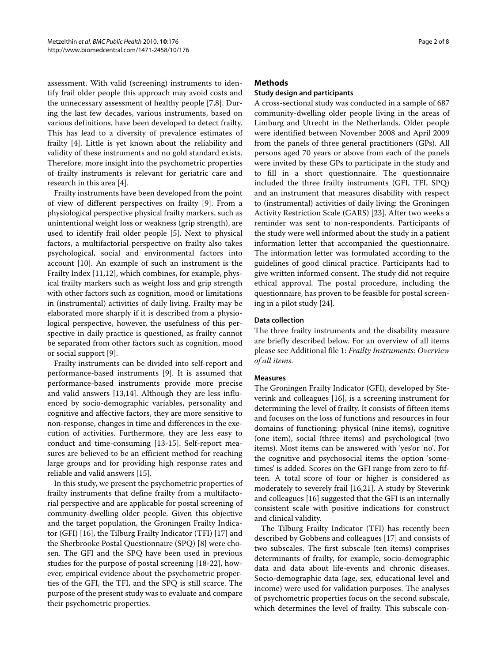assessment. With valid (screening) instruments to identify frail older people this approach may avoid costs and the unnecessary assessment of healthy people [[7,](#page-6-6)[8\]](#page-6-7). During the last few decades, various instruments, based on various definitions, have been developed to detect frailty. This has lead to a diversity of prevalence estimates of frailty [\[4](#page-6-2)]. Little is yet known about the reliability and validity of these instruments and no gold standard exists. Therefore, more insight into the psychometric properties of frailty instruments is relevant for geriatric care and research in this area [[4\]](#page-6-2).

Frailty instruments have been developed from the point of view of different perspectives on frailty [\[9](#page-6-8)]. From a physiological perspective physical frailty markers, such as unintentional weight loss or weakness (grip strength), are used to identify frail older people [\[5](#page-6-3)]. Next to physical factors, a multifactorial perspective on frailty also takes psychological, social and environmental factors into account [[10\]](#page-6-9). An example of such an instrument is the Frailty Index [[11,](#page-6-10)[12\]](#page-6-11), which combines, for example, physical frailty markers such as weight loss and grip strength with other factors such as cognition, mood or limitations in (instrumental) activities of daily living. Frailty may be elaborated more sharply if it is described from a physiological perspective, however, the usefulness of this perspective in daily practice is questioned, as frailty cannot be separated from other factors such as cognition, mood or social support [[9\]](#page-6-8).

Frailty instruments can be divided into self-report and performance-based instruments [[9\]](#page-6-8). It is assumed that performance-based instruments provide more precise and valid answers [\[13](#page-6-12)[,14](#page-6-13)]. Although they are less influenced by socio-demographic variables, personality and cognitive and affective factors, they are more sensitive to non-response, changes in time and differences in the execution of activities. Furthermore, they are less easy to conduct and time-consuming [\[13-](#page-6-12)[15](#page-6-14)]. Self-report measures are believed to be an efficient method for reaching large groups and for providing high response rates and reliable and valid answers [\[15](#page-6-14)].

In this study, we present the psychometric properties of frailty instruments that define frailty from a multifactorial perspective and are applicable for postal screening of community-dwelling older people. Given this objective and the target population, the Groningen Frailty Indicator (GFI) [[16\]](#page-6-15), the Tilburg Frailty Indicator (TFI) [[17\]](#page-6-16) and the Sherbrooke Postal Questionnaire (SPQ) [[8\]](#page-6-7) were chosen. The GFI and the SPQ have been used in previous studies for the purpose of postal screening [[18-](#page-6-17)[22](#page-6-18)], however, empirical evidence about the psychometric properties of the GFI, the TFI, and the SPQ is still scarce. The purpose of the present study was to evaluate and compare their psychometric properties.

# **Methods**

# **Study design and participants**

A cross-sectional study was conducted in a sample of 687 community-dwelling older people living in the areas of Limburg and Utrecht in the Netherlands. Older people were identified between November 2008 and April 2009 from the panels of three general practitioners (GPs). All persons aged 70 years or above from each of the panels were invited by these GPs to participate in the study and to fill in a short questionnaire. The questionnaire included the three frailty instruments (GFI, TFI, SPQ) and an instrument that measures disability with respect to (instrumental) activities of daily living: the Groningen Activity Restriction Scale (GARS) [[23\]](#page-6-19). After two weeks a reminder was sent to non-respondents. Participants of the study were well informed about the study in a patient information letter that accompanied the questionnaire. The information letter was formulated according to the guidelines of good clinical practice. Participants had to give written informed consent. The study did not require ethical approval. The postal procedure, including the questionnaire, has proven to be feasible for postal screening in a pilot study [[24\]](#page-6-20).

### **Data collection**

The three frailty instruments and the disability measure are briefly described below. For an overview of all items please see Additional file [1](#page-6-21): *Frailty Instruments: Overview of all items*.

#### **Measures**

The Groningen Frailty Indicator (GFI), developed by Steverink and colleagues [\[16](#page-6-15)], is a screening instrument for determining the level of frailty. It consists of fifteen items and focuses on the loss of functions and resources in four domains of functioning: physical (nine items), cognitive (one item), social (three items) and psychological (two items). Most items can be answered with 'yes'or 'no'. For the cognitive and psychosocial items the option 'sometimes' is added. Scores on the GFI range from zero to fifteen. A total score of four or higher is considered as moderately to severely frail [[16](#page-6-15),[21\]](#page-6-22). A study by Steverink and colleagues [[16\]](#page-6-15) suggested that the GFI is an internally consistent scale with positive indications for construct and clinical validity.

The Tilburg Frailty Indicator (TFI) has recently been described by Gobbens and colleagues [[17\]](#page-6-16) and consists of two subscales. The first subscale (ten items) comprises determinants of frailty, for example, socio-demographic data and data about life-events and chronic diseases. Socio-demographic data (age, sex, educational level and income) were used for validation purposes. The analyses of psychometric properties focus on the second subscale, which determines the level of frailty. This subscale con-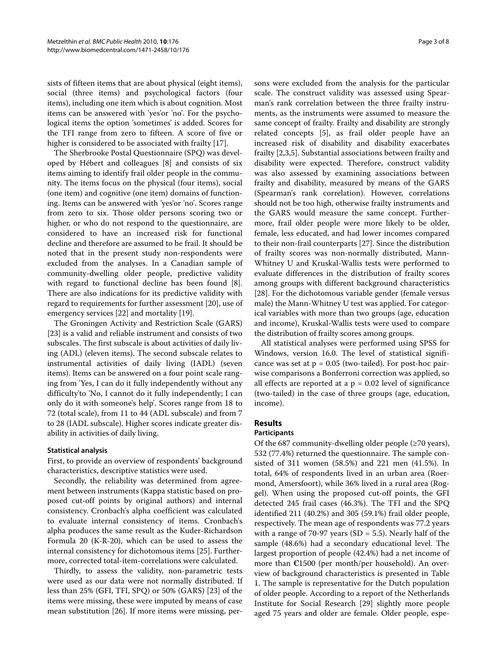sists of fifteen items that are about physical (eight items), social (three items) and psychological factors (four items), including one item which is about cognition. Most items can be answered with 'yes'or 'no'. For the psychological items the option 'sometimes' is added. Scores for the TFI range from zero to fifteen. A score of five or higher is considered to be associated with frailty [\[17](#page-6-16)].

The Sherbrooke Postal Questionnaire (SPQ) was developed by Hébert and colleagues [[8\]](#page-6-7) and consists of six items aiming to identify frail older people in the community. The items focus on the physical (four items), social (one item) and cognitive (one item) domains of functioning. Items can be answered with 'yes'or 'no'. Scores range from zero to six. Those older persons scoring two or higher, or who do not respond to the questionnaire, are considered to have an increased risk for functional decline and therefore are assumed to be frail. It should be noted that in the present study non-respondents were excluded from the analyses. In a Canadian sample of community-dwelling older people, predictive validity with regard to functional decline has been found [\[8](#page-6-7)]. There are also indications for its predictive validity with regard to requirements for further assessment [\[20\]](#page-6-23), use of emergency services [\[22](#page-6-18)] and mortality [[19](#page-6-24)].

The Groningen Activity and Restriction Scale (GARS) [[23\]](#page-6-19) is a valid and reliable instrument and consists of two subscales. The first subscale is about activities of daily living (ADL) (eleven items). The second subscale relates to instrumental activities of daily living (IADL) (seven items). Items can be answered on a four point scale ranging from 'Yes, I can do it fully independently without any difficulty'to 'No, I cannot do it fully independently; I can only do it with someone's help'. Scores range from 18 to 72 (total scale), from 11 to 44 (ADL subscale) and from 7 to 28 (IADL subscale). Higher scores indicate greater disability in activities of daily living.

#### **Statistical analysis**

First, to provide an overview of respondents' background characteristics, descriptive statistics were used.

Secondly, the reliability was determined from agreement between instruments (Kappa statistic based on proposed cut-off points by original authors) and internal consistency. Cronbach's alpha coefficient was calculated to evaluate internal consistency of items. Cronbach's alpha produces the same result as the Kuder-Richardson Formula 20 (K-R-20), which can be used to assess the internal consistency for dichotomous items [[25\]](#page-6-25). Furthermore, corrected total-item-correlations were calculated.

Thirdly, to assess the validity, non-parametric tests were used as our data were not normally distributed. If less than 25% (GFI, TFI, SPQ) or 50% (GARS) [[23\]](#page-6-19) of the items were missing, these were imputed by means of case mean substitution [\[26](#page-6-26)]. If more items were missing, per-

sons were excluded from the analysis for the particular scale. The construct validity was assessed using Spearman's rank correlation between the three frailty instruments, as the instruments were assumed to measure the same concept of frailty. Frailty and disability are strongly related concepts [[5\]](#page-6-3), as frail older people have an increased risk of disability and disability exacerbates frailty [\[2](#page-6-1)[,3](#page-6-4),[5\]](#page-6-3). Substantial associations between frailty and disability were expected. Therefore, construct validity was also assessed by examining associations between frailty and disability, measured by means of the GARS (Spearman's rank correlation). However, correlations should not be too high, otherwise frailty instruments and the GARS would measure the same concept. Furthermore, frail older people were more likely to be older, female, less educated, and had lower incomes compared to their non-frail counterparts [\[27](#page-6-27)]. Since the distribution of frailty scores was non-normally distributed, Mann-Whitney U and Kruskal-Wallis tests were performed to evaluate differences in the distribution of frailty scores among groups with different background characteristics [[28\]](#page-6-28). For the dichotomous variable gender (female versus male) the Mann-Whitney U test was applied. For categorical variables with more than two groups (age, education and income), Kruskal-Wallis tests were used to compare the distribution of frailty scores among groups.

All statistical analyses were performed using SPSS for Windows, version 16.0. The level of statistical significance was set at  $p = 0.05$  (two-tailed). For post-hoc pairwise comparisons a Bonferroni correction was applied, so all effects are reported at a  $p = 0.02$  level of significance (two-tailed) in the case of three groups (age, education, income).

# **Results**

#### **Participants**

Of the 687 community-dwelling older people  $(\geq 70 \text{ years})$ , 532 (77.4%) returned the questionnaire. The sample consisted of 311 women (58.5%) and 221 men (41.5%). In total, 64% of respondents lived in an urban area (Roermond, Amersfoort), while 36% lived in a rural area (Roggel). When using the proposed cut-off points, the GFI detected 245 frail cases (46.3%). The TFI and the SPQ identified 211 (40.2%) and 305 (59.1%) frail older people, respectively. The mean age of respondents was 77.2 years with a range of 70-97 years (SD = 5.5). Nearly half of the sample (48.6%) had a secondary educational level. The largest proportion of people (42.4%) had a net income of more than €1500 (per month/per household). An overview of background characteristics is presented in Table 1. The sample is representative for the Dutch population of older people. According to a report of the Netherlands Institute for Social Research [[29\]](#page-6-29) slightly more people aged 75 years and older are female. Older people, espe-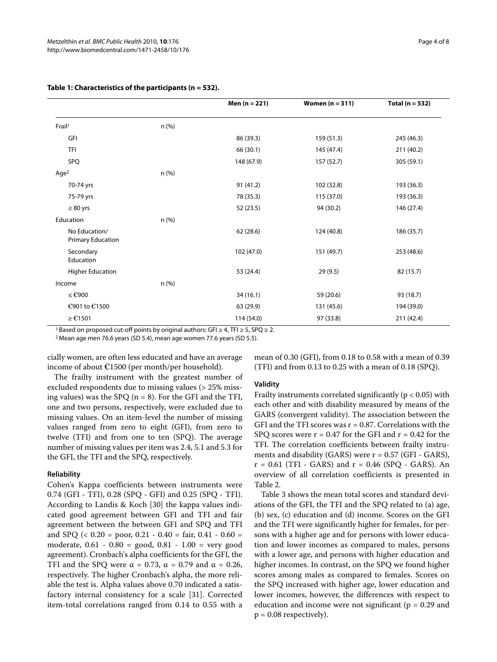|                                    |       | Men $(n = 221)$ | Women $(n = 311)$ | Total ( $n = 532$ ) |
|------------------------------------|-------|-----------------|-------------------|---------------------|
| Frail <sup>1</sup>                 | n (%) |                 |                   |                     |
| GFI                                |       | 86 (39.3)       | 159 (51.3)        | 245 (46.3)          |
| TFI                                |       | 66 (30.1)       | 145 (47.4)        | 211 (40.2)          |
| SPQ                                |       | 148 (67.9)      | 157 (52.7)        | 305 (59.1)          |
| Age <sup>2</sup>                   | n(%)  |                 |                   |                     |
| 70-74 yrs                          |       | 91(41.2)        | 102 (32.8)        | 193 (36.3)          |
| 75-79 yrs                          |       | 78 (35.3)       | 115 (37.0)        | 193 (36.3)          |
| $\geq 80$ yrs                      |       | 52 (23.5)       | 94 (30.2)         | 146 (27.4)          |
| Education                          | n(%)  |                 |                   |                     |
| No Education/<br>Primary Education |       | 62 (28.6)       | 124 (40.8)        | 186 (35.7)          |
| Secondary<br>Education             |       | 102 (47.0)      | 151 (49.7)        | 253 (48.6)          |
| <b>Higher Education</b>            |       | 53 (24.4)       | 29 (9.5)          | 82 (15.7)           |
| Income                             | n(%)  |                 |                   |                     |
| ≤ €900                             |       | 34(16.1)        | 59 (20.6)         | 93 (18.7)           |
| €901 to €1500                      |       | 63 (29.9)       | 131 (45.6)        | 194 (39.0)          |
| $≥ €1501$                          |       | 114 (54.0)      | 97 (33.8)         | 211 (42.4)          |

# **Table 1: Characteristics of the participants (n = 532).**

1 Based on proposed cut-off points by original authors: GFI  $\geq 4$ , TFI  $\geq 5$ , SPQ  $\geq 2$ .

2 Mean age men 76.6 years (SD 5.4), mean age women 77.6 years (SD 5.5).

cially women, are often less educated and have an average income of about €1500 (per month/per household).

mean of 0.30 (GFI), from 0.18 to 0.58 with a mean of 0.39 (TFI) and from 0.13 to 0.25 with a mean of 0.18 (SPQ).

The frailty instrument with the greatest number of excluded respondents due to missing values (> 25% missing values) was the SPQ ( $n = 8$ ). For the GFI and the TFI, one and two persons, respectively, were excluded due to missing values. On an item-level the number of missing values ranged from zero to eight (GFI), from zero to twelve (TFI) and from one to ten (SPQ). The average number of missing values per item was 2.4, 5.1 and 5.3 for the GFI, the TFI and the SPQ, respectively.

#### **Reliability**

Cohen's Kappa coefficients between instruments were 0.74 (GFI - TFI), 0.28 (SPQ - GFI) and 0.25 (SPQ - TFI). According to Landis & Koch [[30](#page-6-30)] the kappa values indicated good agreement between GFI and TFI and fair agreement between the between GFI and SPQ and TFI and SPQ ( $< 0.20 =$  poor, 0.21 - 0.40 = fair, 0.41 - 0.60 = moderate, 0.61 - 0.80 = good, 0.81 - 1.00 = very good agreement). Cronbach's alpha coefficients for the GFI, the TFI and the SPQ were  $\alpha = 0.73$ ,  $\alpha = 0.79$  and  $\alpha = 0.26$ , respectively. The higher Cronbach's alpha, the more reliable the test is. Alpha values above 0.70 indicated a satisfactory internal consistency for a scale [[31](#page-6-31)]. Corrected item-total correlations ranged from 0.14 to 0.55 with a

#### **Validity**

Frailty instruments correlated significantly ( $p < 0.05$ ) with each other and with disability measured by means of the GARS (convergent validity). The association between the GFI and the TFI scores was  $r = 0.87$ . Correlations with the SPQ scores were  $r = 0.47$  for the GFI and  $r = 0.42$  for the TFI. The correlation coefficients between frailty instruments and disability (GARS) were  $r = 0.57$  (GFI - GARS),  $r = 0.61$  (TFI - GARS) and  $r = 0.46$  (SPQ - GARS). An overview of all correlation coefficients is presented in Table 2.

Table [3](#page-5-0) shows the mean total scores and standard deviations of the GFI, the TFI and the SPQ related to (a) age, (b) sex, (c) education and (d) income. Scores on the GFI and the TFI were significantly higher for females, for persons with a higher age and for persons with lower education and lower incomes as compared to males, persons with a lower age, and persons with higher education and higher incomes. In contrast, on the SPQ we found higher scores among males as compared to females. Scores on the SPQ increased with higher age, lower education and lower incomes, however, the differences with respect to education and income were not significant ( $p = 0.29$  and  $p = 0.08$  respectively).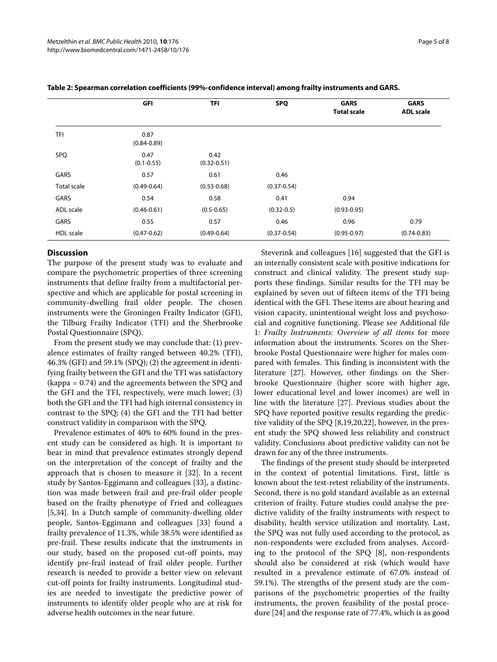|                  | GFI                     | <b>TFI</b>              | <b>SPQ</b>      | <b>GARS</b><br><b>Total scale</b> | <b>GARS</b><br><b>ADL scale</b> |
|------------------|-------------------------|-------------------------|-----------------|-----------------------------------|---------------------------------|
|                  |                         |                         |                 |                                   |                                 |
| <b>TFI</b>       | 0.87<br>$(0.84 - 0.89)$ |                         |                 |                                   |                                 |
| SPQ              | 0.47<br>$(0.1 - 0.55)$  | 0.42<br>$(0.32 - 0.51)$ |                 |                                   |                                 |
| GARS             | 0.57                    | 0.61                    | 0.46            |                                   |                                 |
| Total scale      | $(0.49 - 0.64)$         | $(0.53 - 0.68)$         | $(0.37 - 0.54)$ |                                   |                                 |
| GARS             | 0.54                    | 0.58                    | 0.41            | 0.94                              |                                 |
| ADL scale        | $(0.46 - 0.61)$         | $(0.5 - 0.65)$          | $(0.32 - 0.5)$  | $(0.93 - 0.95)$                   |                                 |
| GARS             | 0.55                    | 0.57                    | 0.46            | 0.96                              | 0.79                            |
| <b>HDL</b> scale | $(0.47 - 0.62)$         | $(0.49 - 0.64)$         | $(0.37 - 0.54)$ | $(0.95 - 0.97)$                   | $(0.74 - 0.83)$                 |

### **Table 2: Spearman correlation coefficients (99%-confidence interval) among frailty instruments and GARS.**

# **Discussion**

The purpose of the present study was to evaluate and compare the psychometric properties of three screening instruments that define frailty from a multifactorial perspective and which are applicable for postal screening in community-dwelling frail older people. The chosen instruments were the Groningen Frailty Indicator (GFI), the Tilburg Frailty Indicator (TFI) and the Sherbrooke Postal Questionnaire (SPQ).

From the present study we may conclude that: (1) prevalence estimates of frailty ranged between 40.2% (TFI), 46.3% (GFI) and 59.1% (SPQ); (2) the agreement in identifying frailty between the GFI and the TFI was satisfactory (kappa = 0.74) and the agreements between the SPQ and the GFI and the TFI, respectively, were much lower; (3) both the GFI and the TFI had high internal consistency in contrast to the SPQ; (4) the GFI and the TFI had better construct validity in comparison with the SPQ.

Prevalence estimates of 40% to 60% found in the present study can be considered as high. It is important to bear in mind that prevalence estimates strongly depend on the interpretation of the concept of frailty and the approach that is chosen to measure it [[32\]](#page-6-32). In a recent study by Santos-Eggimann and colleagues [\[33](#page-7-0)], a distinction was made between frail and pre-frail older people based on the frailty phenotype of Fried and colleagues [[5,](#page-6-3)[34\]](#page-7-1). In a Dutch sample of community-dwelling older people, Santos-Eggimann and colleagues [[33\]](#page-7-0) found a frailty prevalence of 11.3%, while 38.5% were identified as pre-frail. These results indicate that the instruments in our study, based on the proposed cut-off points, may identify pre-frail instead of frail older people. Further research is needed to provide a better view on relevant cut-off points for frailty instruments. Longitudinal studies are needed to investigate the predictive power of instruments to identify older people who are at risk for adverse health outcomes in the near future.

Steverink and colleagues [\[16](#page-6-15)] suggested that the GFI is an internally consistent scale with positive indications for construct and clinical validity. The present study supports these findings. Similar results for the TFI may be explained by seven out of fifteen items of the TFI being identical with the GFI. These items are about hearing and vision capacity, unintentional weight loss and psychosocial and cognitive functioning. Please see Additional file [1:](#page-6-21) *Frailty Instruments: Overview of all items* for more information about the instruments. Scores on the Sherbrooke Postal Questionnaire were higher for males compared with females. This finding is inconsistent with the literature [\[27\]](#page-6-27). However, other findings on the Sherbrooke Questionnaire (higher score with higher age, lower educational level and lower incomes) are well in line with the literature [\[27](#page-6-27)]. Previous studies about the SPQ have reported positive results regarding the predictive validity of the SPQ [\[8](#page-6-7)[,19](#page-6-24)[,20](#page-6-23)[,22](#page-6-18)], however, in the present study the SPQ showed less reliability and construct validity. Conclusions about predictive validity can not be drawn for any of the three instruments.

The findings of the present study should be interpreted in the context of potential limitations. First, little is known about the test-retest reliability of the instruments. Second, there is no gold standard available as an external criterion of frailty. Future studies could analyse the predictive validity of the frailty instruments with respect to disability, health service utilization and mortality. Last, the SPQ was not fully used according to the protocol, as non-respondents were excluded from analyses. According to the protocol of the SPQ [\[8\]](#page-6-7), non-respondents should also be considered at risk (which would have resulted in a prevalence estimate of 67.0% instead of 59.1%). The strengths of the present study are the comparisons of the psychometric properties of the frailty instruments, the proven feasibility of the postal procedure [[24\]](#page-6-20) and the response rate of 77.4%, which is as good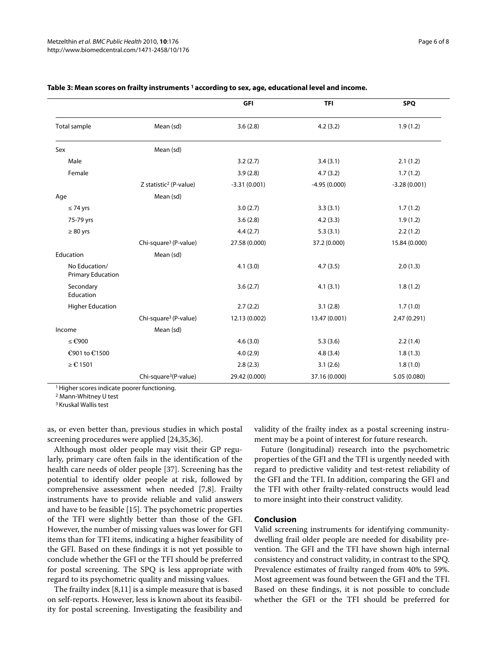|                                           |                                    | GFI            | <b>TFI</b>     | <b>SPQ</b>     |
|-------------------------------------------|------------------------------------|----------------|----------------|----------------|
| Total sample                              | Mean (sd)                          | 3.6(2.8)       | 4.2(3.2)       | 1.9(1.2)       |
| Sex                                       | Mean (sd)                          |                |                |                |
| Male                                      |                                    | 3.2(2.7)       | 3.4(3.1)       | 2.1(1.2)       |
| Female                                    |                                    | 3.9(2.8)       | 4.7(3.2)       | 1.7(1.2)       |
|                                           | Z statistic <sup>2</sup> (P-value) | $-3.31(0.001)$ | $-4.95(0.000)$ | $-3.28(0.001)$ |
| Age                                       | Mean (sd)                          |                |                |                |
| $\leq 74$ yrs                             |                                    | 3.0(2.7)       | 3.3(3.1)       | 1.7(1.2)       |
| 75-79 yrs                                 |                                    | 3.6(2.8)       | 4.2(3.3)       | 1.9(1.2)       |
| $\geq 80$ yrs                             |                                    | 4.4(2.7)       | 5.3(3.1)       | 2.2(1.2)       |
|                                           | Chi-square <sup>3</sup> (P-value)  | 27.58 (0.000)  | 37.2 (0.000)   | 15.84 (0.000)  |
| Education                                 | Mean (sd)                          |                |                |                |
| No Education/<br><b>Primary Education</b> |                                    | 4.1(3.0)       | 4.7(3.5)       | 2.0(1.3)       |
| Secondary<br>Education                    |                                    | 3.6(2.7)       | 4.1(3.1)       | 1.8(1.2)       |
| <b>Higher Education</b>                   |                                    | 2.7(2.2)       | 3.1(2.8)       | 1.7(1.0)       |
|                                           | Chi-square <sup>3</sup> (P-value)  | 12.13 (0.002)  | 13.47 (0.001)  | 2.47 (0.291)   |
| Income                                    | Mean (sd)                          |                |                |                |
| ≤ €900                                    |                                    | 4.6(3.0)       | 5.3(3.6)       | 2.2(1.4)       |
| €901 to €1500                             |                                    | 4.0(2.9)       | 4.8(3.4)       | 1.8(1.3)       |
| ≥ €1501                                   |                                    | 2.8(2.3)       | 3.1(2.6)       | 1.8(1.0)       |
|                                           | Chi-square <sup>3</sup> (P-value)  | 29.42 (0.000)  | 37.16 (0.000)  | 5.05 (0.080)   |

#### <span id="page-5-0"></span>**Table 3: Mean scores on frailty instruments 1 according to sex, age, educational level and income.**

<sup>1</sup> Higher scores indicate poorer functioning.

2 Mann-Whitney U test

3 Kruskal Wallis test

as, or even better than, previous studies in which postal screening procedures were applied [[24](#page-6-20),[35,](#page-7-2)[36\]](#page-7-3).

Although most older people may visit their GP regularly, primary care often fails in the identification of the health care needs of older people [[37](#page-7-4)]. Screening has the potential to identify older people at risk, followed by comprehensive assessment when needed [\[7](#page-6-6),[8](#page-6-7)]. Frailty instruments have to provide reliable and valid answers and have to be feasible [\[15](#page-6-14)]. The psychometric properties of the TFI were slightly better than those of the GFI. However, the number of missing values was lower for GFI items than for TFI items, indicating a higher feasibility of the GFI. Based on these findings it is not yet possible to conclude whether the GFI or the TFI should be preferred for postal screening. The SPQ is less appropriate with regard to its psychometric quality and missing values.

The frailty index [\[8](#page-6-7)[,11](#page-6-10)] is a simple measure that is based on self-reports. However, less is known about its feasibility for postal screening. Investigating the feasibility and validity of the frailty index as a postal screening instrument may be a point of interest for future research.

Future (longitudinal) research into the psychometric properties of the GFI and the TFI is urgently needed with regard to predictive validity and test-retest reliability of the GFI and the TFI. In addition, comparing the GFI and the TFI with other frailty-related constructs would lead to more insight into their construct validity.

#### **Conclusion**

Valid screening instruments for identifying communitydwelling frail older people are needed for disability prevention. The GFI and the TFI have shown high internal consistency and construct validity, in contrast to the SPQ. Prevalence estimates of frailty ranged from 40% to 59%. Most agreement was found between the GFI and the TFI. Based on these findings, it is not possible to conclude whether the GFI or the TFI should be preferred for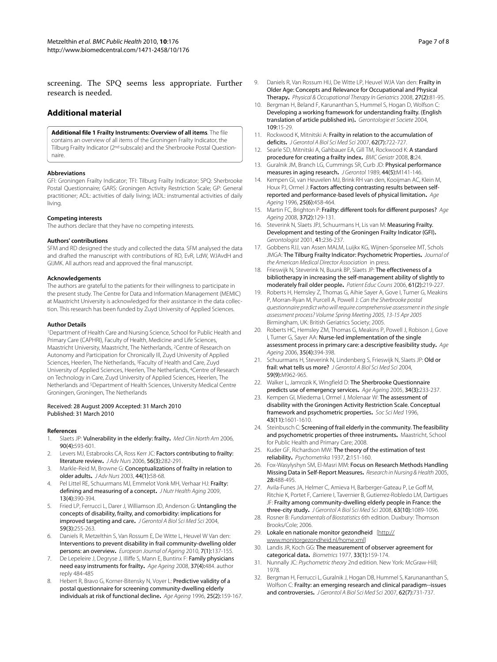screening. The SPQ seems less appropriate. Further research is needed.

# **Additional material**

#### <span id="page-6-21"></span>**[Additional file 1](http://www.biomedcentral.com/content/supplementary/1471-2458-10-176-S1.PDF) Frailty Instruments: Overview of all items**. The file

contains an overview of all items of the Groningen Frailty Indicator, the Tilburg Frailty Indicator (2nd subscale) and the Sherbrooke Postal Questionnaire.

#### **Abbreviations**

GFI: Groningen Frailty Indicator; TFI: Tilburg Frailty Indicator; SPQ: Sherbrooke Postal Questionnaire; GARS: Groningen Activity Restriction Scale; GP: General practitioner; ADL: activities of daily living; IADL: instrumental activities of daily living.

#### **Competing interests**

The authors declare that they have no competing interests.

#### **Authors' contributions**

SFM and RD designed the study and collected the data. SFM analysed the data and drafted the manuscript with contributions of RD, EvR, LdW, WJAvdH and GIJMK. All authors read and approved the final manuscript.

#### **Acknowledgements**

The authors are grateful to the patients for their willingness to participate in the present study. The Centre for Data and Information Management (MEMIC) at Maastricht University is acknowledged for their assistance in the data collection. This research has been funded by Zuyd University of Applied Sciences.

#### **Author Details**

1Department of Health Care and Nursing Science, School for Public Health and Primary Care (CAPHRI), Faculty of Health, Medicine and Life Sciences, Maastricht University, Maastricht, The Netherlands, 2Centre of Research on Autonomy and Participation for Chronically Ill, Zuyd University of Applied Sciences, Heerlen, The Netherlands, 3Faculty of Health and Care, Zuyd University of Applied Sciences, Heerlen, The Netherlands, 4Centre of Research on Technology in Care, Zuyd University of Applied Sciences, Heerlen, The Netherlands and 5Department of Health Sciences, University Medical Centre Groningen, Groningen, The Netherlands

#### Received: 28 August 2009 Accepted: 31 March 2010 Published: 31 March 2010

#### **References**

- <span id="page-6-0"></span>1. Slaets JP: Vulnerability in the elderly: frailty**.** Med Clin North Am 2006, 90(4):593-601.
- <span id="page-6-1"></span>2. Levers MJ, Estabrooks CA, Ross Kerr JC: Factors contributing to frailty: literature review**[.](http://www.ncbi.nlm.nih.gov/entrez/query.fcgi?cmd=Retrieve&db=PubMed&dopt=Abstract&list_uids=17042807)** J Adv Nurs 2006, 56(3):282-291.
- <span id="page-6-4"></span>3. Markle-Reid M, Browne G: Conceptualizations of frailty in relation to older adults**.** J Adv Nurs 2003, 44(1):58-68.
- <span id="page-6-2"></span>4. Pel Littel RE, Schuurmans MJ, Emmelot Vonk MH, Verhaar HJ: Frailty: defining and measuring of a concept**[.](http://www.ncbi.nlm.nih.gov/entrez/query.fcgi?cmd=Retrieve&db=PubMed&dopt=Abstract&list_uids=19300888)** J Nutr Health Aging 2009, 13(4):390-394.
- <span id="page-6-3"></span>5. Fried LP, Ferrucci L, Darer J, Williamson JD, Anderson G: Untangling the concepts of disability, frailty, and comorbidity: implications for improved targeting and care**.** J Gerontol A Biol Sci Med Sci 2004, 59(3):255-263.
- <span id="page-6-5"></span>Daniels R, Metzelthin S, Van Rossum E, De Witte L, Heuvel W Van den: Interventions to prevent disability in frail community-dwelling older persons: an overview**.** European Journal of Ageing 2010, 7(1):137-155.
- <span id="page-6-6"></span>7. De Lepeleire J, Degryse J, Illiffe S, Mann E, Buntinx F: Family physicians need easy instruments for frailty**.** Age Ageing 2008, 37(4):484. author reply 484-485
- <span id="page-6-7"></span>8. Hebert R, Bravo G, Korner-Bitensky N, Voyer L: Predictive validity of a postal questionnaire for screening community-dwelling elderly individuals at risk of functional decline**.** Age Ageing 1996, 25(2):159-167.
- <span id="page-6-8"></span>9. Daniels R, Van Rossum HIJ, De Witte LP, Heuvel WJA Van den: Frailty in Older Age: Concepts and Relevance for Occupational and Physical Therapy**.** Physical & Occupational Therapy In Geriatrics 2008, 27(2):81-95.
- <span id="page-6-9"></span>10. Bergman H, Beland F, Karunanthan S, Hummel S, Hogan D, Wolfson C: Developing a working framework for understanding frailty. (English translation of article published in)**.** Gerontologie et Societe 2004, 109:15-29.
- <span id="page-6-10"></span>11. Rockwood K, Mitnitski A: Frailty in relation to the accumulation of deficits**.** J Gerontol A Biol Sci Med Sci 2007, 62(7):722-727.
- <span id="page-6-11"></span>12. Searle SD, Mitnitski A, Gahbauer EA, Gill TM, Rockwood K: A standard procedure for creating a frailty index**.** BMC Geriatr 2008, 8:24.
- <span id="page-6-12"></span>13. Guralnik JM, Branch LG, Cummings SR, Curb JD: Physical performance measures in aging research**[.](http://www.ncbi.nlm.nih.gov/entrez/query.fcgi?cmd=Retrieve&db=PubMed&dopt=Abstract&list_uids=2768767)** J Gerontol 1989, 44(5):M141-146.
- <span id="page-6-13"></span>14. Kempen GI, van Heuvelen MJ, Brink RH van den, Kooijman AC, Klein M, Houx PJ, Ormel J: Factors affecting contrasting results between selfreported and performance-based levels of physical limitation**.** Age Ageing 1996, 25(6):458-464.
- <span id="page-6-14"></span>15.Martin FC, Brighton P: Frailty: different tools for different purposes? Age Ageing 2008, 37(2):129-131.
- <span id="page-6-15"></span>16. Steverink N, Slaets JPJ, Schuurmans H, Lis van M: Measuring Frailty. Development and testing of the Groningen Frailty Indicator (GFI)**.** Gerontologist 2001, 41:236-237.
- <span id="page-6-16"></span>17. Gobbens RJJ, van Assen MALM, Luijkx KG, Wijnen-Sponselee MT, Schols JMGA: The Tilburg Frailty Indicator: Psychometric Properties**.** Journal of the American Medical Director Association in press.
- <span id="page-6-17"></span>18. Frieswijk N, Steverink N, Buunk BP, Slaets JP: The effectiveness of a bibliotherapy in increasing the self-management ability of slightly to moderately frail older people**.** Patient Educ Couns 2006, 61(2):219-227.
- <span id="page-6-24"></span>19. Roberts H, Hemsley Z, Thomas G, Aihie Sayer A, Gove I, Turner G, Meakins P, Morran-Ryan M, Purcell A, Powell J: Can the Sherbrooke postal questionnaire predict who will require comprehensive assessment in the single assessment process? Volume Spring Meeting 2005, 13-15 Apr 2005 Birmingham, UK: British Geriatrics Society; 2005.
- <span id="page-6-23"></span>20. Roberts HC, Hemsley ZM, Thomas G, Meakins P, Powell J, Robison J, Gove I, Turner G, Sayer AA: Nurse-led implementation of the single assessment process in primary care: a descriptive feasibility study**[.](http://www.ncbi.nlm.nih.gov/entrez/query.fcgi?cmd=Retrieve&db=PubMed&dopt=Abstract&list_uids=16641142)** Age Ageing 2006, 35(4):394-398.
- <span id="page-6-22"></span>21. Schuurmans H, Steverink N, Lindenberg S, Frieswijk N, Slaets JP: Old or frail:what tells us more? J Gerontol A Biol Sci Med Sci 2004, 59(9):M962-965.
- <span id="page-6-18"></span>22. Walker L, Jamrozik K, Wingfield D: The Sherbrooke Questionnaire predicts use of emergency services**.** Age Ageing 2005, 34(3):233-237.
- <span id="page-6-19"></span>23. Kempen GI, Miedema I, Ormel J, Molenaar W: The assessment of disability with the Groningen Activity Restriction Scale. Conceptual framework and psychometric properties**.** Soc Sci Med 1996, 43(11):1601-1610.
- <span id="page-6-20"></span>24. Steinbusch C: Screening of frail elderly in the community. The feasibility and psychometric properties of three instruments**.** Maastricht, School for Public Health and Primary Care; 2008.
- <span id="page-6-25"></span>Kuder GF, Richardson MW: The theory of the estimation of test reliability**.** Psychometrika 1937, 2:151-160.
- <span id="page-6-26"></span>26. Fox-Wasylyshyn SM, El-Masri MM: Focus on Research Methods Handling Missing Data in Self-Report Measures**.** Research in Nursing & Health 2005, 28:488-495.
- <span id="page-6-27"></span>27. Avila-Funes JA, Helmer C, Amieva H, Barberger-Gateau P, Le Goff M, Ritchie K, Portet F, Carriere I, Tavernier B, Gutierrez-Robledo LM, Dartigues JF: Frailty among community-dwelling elderly people in France: the three-city study**.** J Gerontol A Biol Sci Med Sci 2008, 63(10):1089-1096.
- <span id="page-6-28"></span>28. Rosner B: Fundamentals of Biostatistics 6th edition. Duxbury: Thomson Brooks/Cole; 2006.
- <span id="page-6-29"></span>29. Lokale en nationale monitor gezondheid [\[http://](http://www.monitorgezondheid.nl/home.xml) [www.monitorgezondheid.nl/home.xml\]](http://www.monitorgezondheid.nl/home.xml)
- <span id="page-6-30"></span>30. Landis JR, Koch GG: The measurement of observer agreement for categorical data**.** Biometrics 1977, 33(1):159-174.
- <span id="page-6-31"></span>31. Nunnally JC: Psychometric theory 2nd edition. New York: McGraw-Hill; 1978.
- <span id="page-6-32"></span>32. Bergman H, Ferrucci L, Guralnik J, Hogan DB, Hummel S, Karunananthan S, Wolfson C: Frailty: an emerging research and clinical paradigm--issues and controversies**.** J Gerontol A Biol Sci Med Sci 2007, 62(7):731-737.